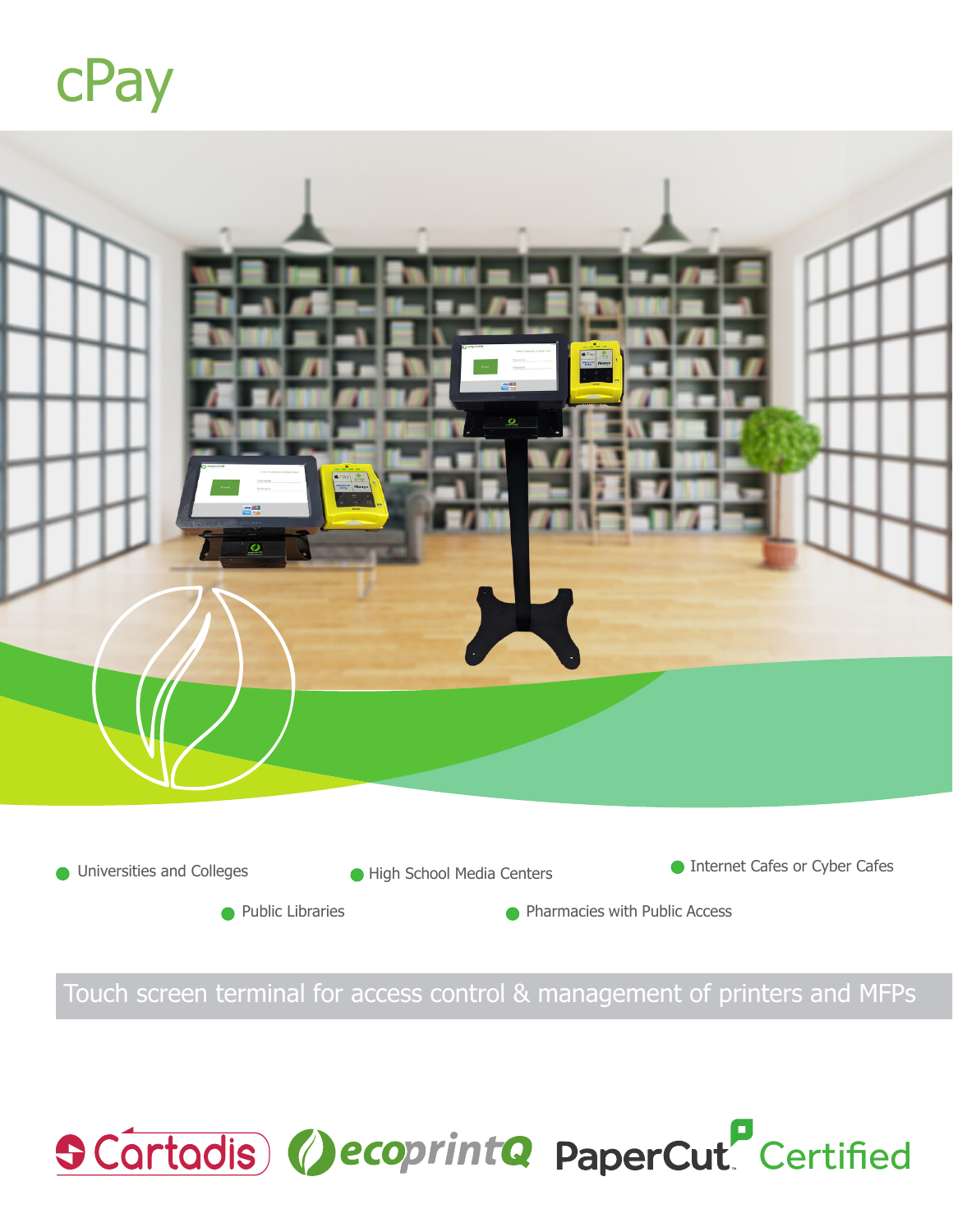



Touch screen terminal for access control & management of printers and MFPs